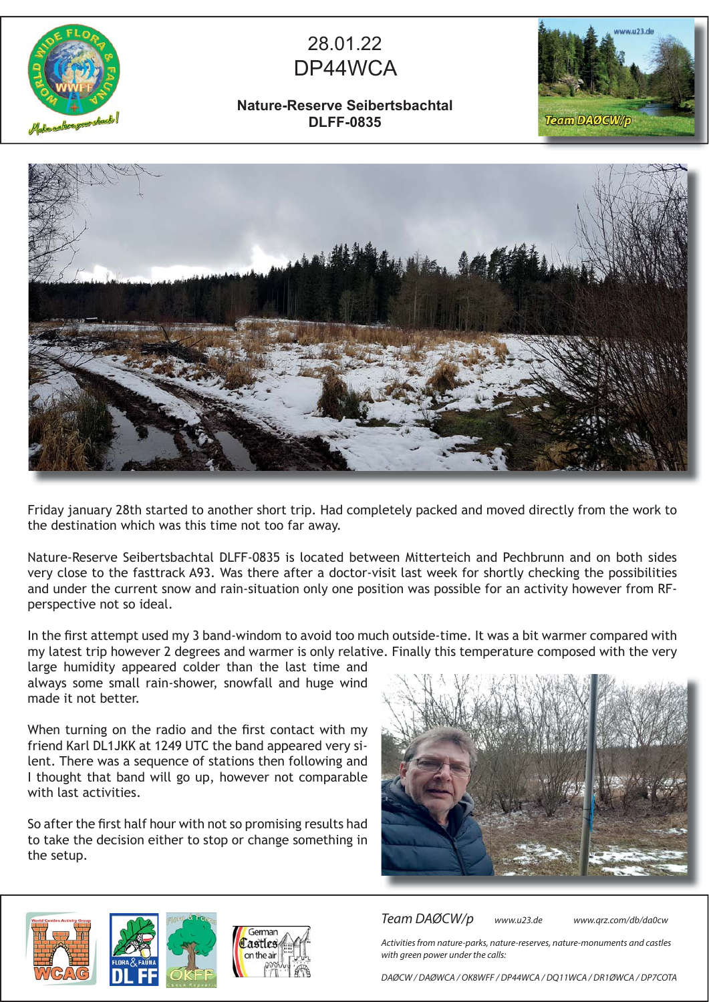

## 28.01.22 DP44WCA

## **Nature-Reserve Seibertsbachtal DLFF-0835**





Friday january 28th started to another short trip. Had completely packed and moved directly from the work to the destination which was this time not too far away.

Nature-Reserve Seibertsbachtal DLFF-0835 is located between Mitterteich and Pechbrunn and on both sides very close to the fasttrack A93. Was there after a doctor-visit last week for shortly checking the possibilities and under the current snow and rain-situation only one position was possible for an activity however from RFperspective not so ideal.

In the first attempt used my 3 band-windom to avoid too much outside-time. It was a bit warmer compared with my latest trip however 2 degrees and warmer is only relative. Finally this temperature composed with the very

large humidity appeared colder than the last time and always some small rain-shower, snowfall and huge wind made it not better.

When turning on the radio and the first contact with my friend Karl DL1JKK at 1249 UTC the band appeared very silent. There was a sequence of stations then following and I thought that band will go up, however not comparable with last activities.

So after the first half hour with not so promising results had to take the decision either to stop or change something in the setup.







Team DAØCW/p www.u23.de www.qrz.com/db/da0cw

Activities from nature-parks, nature-reserves, nature-monuments and castles with green power under the calls:

DAØCW / DAØWCA / OK8WFF / DP44WCA / DQ11WCA / DR1ØWCA / DP7COTA